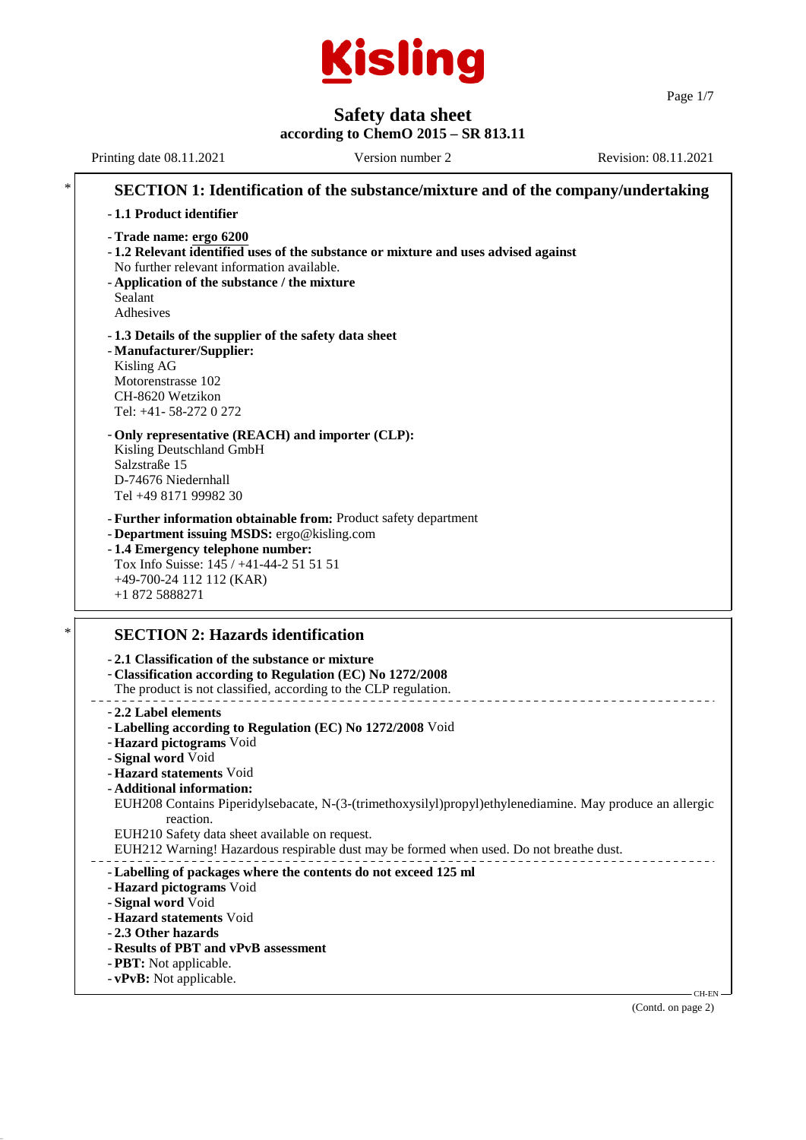

Page 1/7

# **Safety data sheet**

#### **according to ChemO 2015 – SR 813.11**

Printing date 08.11.2021 Version number 2 Revision: 08.11.2021 **SECTION 1: Identification of the substance/mixture and of the company/undertaking** - **1.1 Product identifier** - **Trade name: ergo 6200** - **1.2 Relevant identified uses of the substance or mixture and uses advised against** No further relevant information available. - **Application of the substance / the mixture** Sealant Adhesives - **1.3 Details of the supplier of the safety data sheet** - **Manufacturer/Supplier:** Kisling AG Motorenstrasse 102 CH-8620 Wetzikon Tel: +41- 58-272 0 272 - **Only representative (REACH) and importer (CLP):** Kisling Deutschland GmbH Salzstraße 15 D-74676 Niedernhall Tel +49 8171 99982 30 - **Further information obtainable from:** Product safety department - **Department issuing MSDS:** ergo@kisling.com - **1.4 Emergency telephone number:** Tox Info Suisse: 145 / +41-44-2 51 51 51 +49-700-24 112 112 (KAR) +1 872 5888271 **SECTION 2: Hazards identification** - **2.1 Classification of the substance or mixture** - **Classification according to Regulation (EC) No 1272/2008** The product is not classified, according to the CLP regulation. - **2.2 Label elements** - **Labelling according to Regulation (EC) No 1272/2008** Void - **Hazard pictograms** Void - **Signal word** Void - **Hazard statements** Void - **Additional information:** EUH208 Contains Piperidylsebacate, N-(3-(trimethoxysilyl)propyl)ethylenediamine. May produce an allergic reaction. EUH210 Safety data sheet available on request. EUH212 Warning! Hazardous respirable dust may be formed when used. Do not breathe dust. - **Labelling of packages where the contents do not exceed 125 ml** - **Hazard pictograms** Void - **Signal word** Void - **Hazard statements** Void - **2.3 Other hazards** - **Results of PBT and vPvB assessment** - **PBT:** Not applicable.

- **vPvB:** Not applicable.

(Contd. on page 2)

CH-EN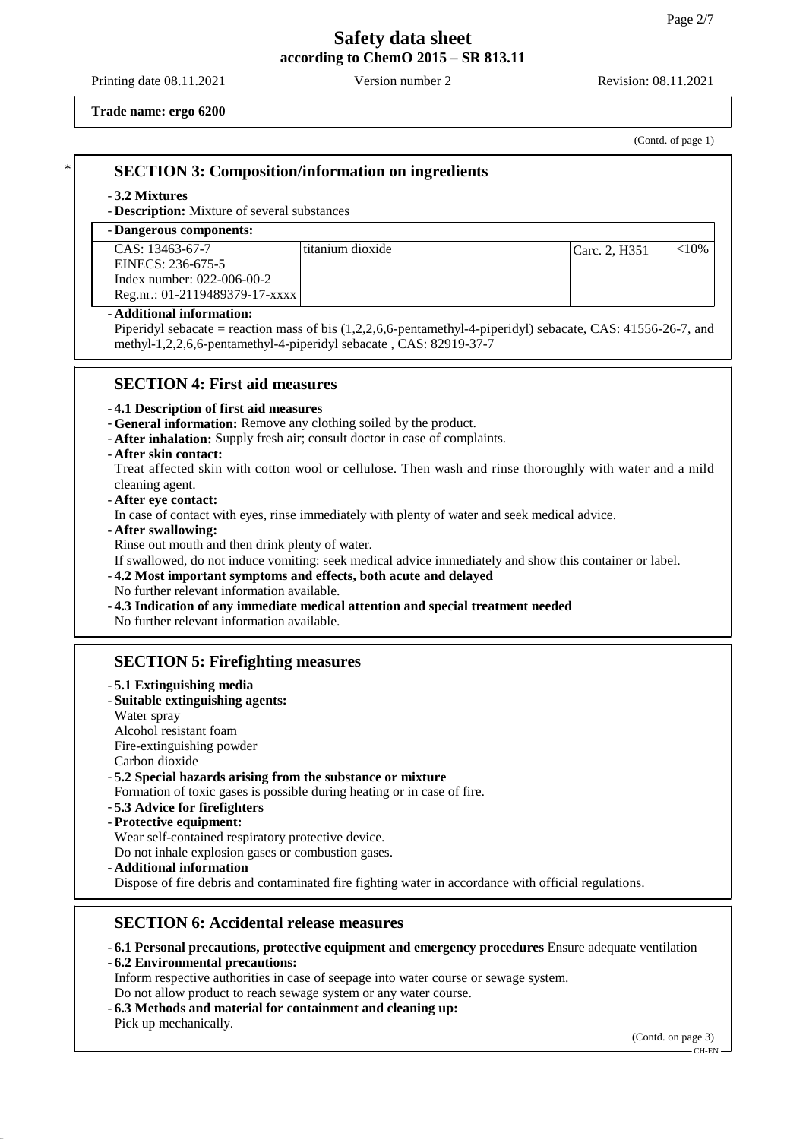Printing date 08.11.2021 Version number 2 Revision: 08.11.2021

**Trade name: ergo 6200**

(Contd. of page 1)

## \* **SECTION 3: Composition/information on ingredients**

#### - **3.2 Mixtures**

- **Description:** Mixture of several substances

## - **Dangerous components:**

| CAS: 13463-67-7                | l titanium dioxide | Carc. 2. H351 | ${<}10\%$ |
|--------------------------------|--------------------|---------------|-----------|
| EINECS: 236-675-5              |                    |               |           |
| Index number: $022-006-00-2$   |                    |               |           |
| Reg.nr.: 01-2119489379-17-xxxx |                    |               |           |

#### - **Additional information:**

Piperidyl sebacate = reaction mass of bis (1,2,2,6,6-pentamethyl-4-piperidyl) sebacate, CAS: 41556-26-7, and methyl-1,2,2,6,6-pentamethyl-4-piperidyl sebacate , CAS: 82919-37-7

## **SECTION 4: First aid measures**

#### - **4.1 Description of first aid measures**

- **General information:** Remove any clothing soiled by the product.
- **After inhalation:** Supply fresh air; consult doctor in case of complaints.

#### - **After skin contact:**

Treat affected skin with cotton wool or cellulose. Then wash and rinse thoroughly with water and a mild cleaning agent.

#### - **After eye contact:**

In case of contact with eyes, rinse immediately with plenty of water and seek medical advice.

#### - **After swallowing:**

Rinse out mouth and then drink plenty of water.

If swallowed, do not induce vomiting: seek medical advice immediately and show this container or label.

- **4.2 Most important symptoms and effects, both acute and delayed**

- No further relevant information available.
- **4.3 Indication of any immediate medical attention and special treatment needed**

No further relevant information available.

## **SECTION 5: Firefighting measures**

#### - **5.1 Extinguishing media**

- **Suitable extinguishing agents:**
- Water spray
- Alcohol resistant foam
- Fire-extinguishing powder
- Carbon dioxide

## - **5.2 Special hazards arising from the substance or mixture**

Formation of toxic gases is possible during heating or in case of fire.

- **5.3 Advice for firefighters**
- **Protective equipment:**

Wear self-contained respiratory protective device.

Do not inhale explosion gases or combustion gases.

- **Additional information**

Dispose of fire debris and contaminated fire fighting water in accordance with official regulations.

## **SECTION 6: Accidental release measures**

- **6.1 Personal precautions, protective equipment and emergency procedures** Ensure adequate ventilation
- **6.2 Environmental precautions:**

Inform respective authorities in case of seepage into water course or sewage system.

- Do not allow product to reach sewage system or any water course.
- **6.3 Methods and material for containment and cleaning up:** Pick up mechanically.

(Contd. on page 3)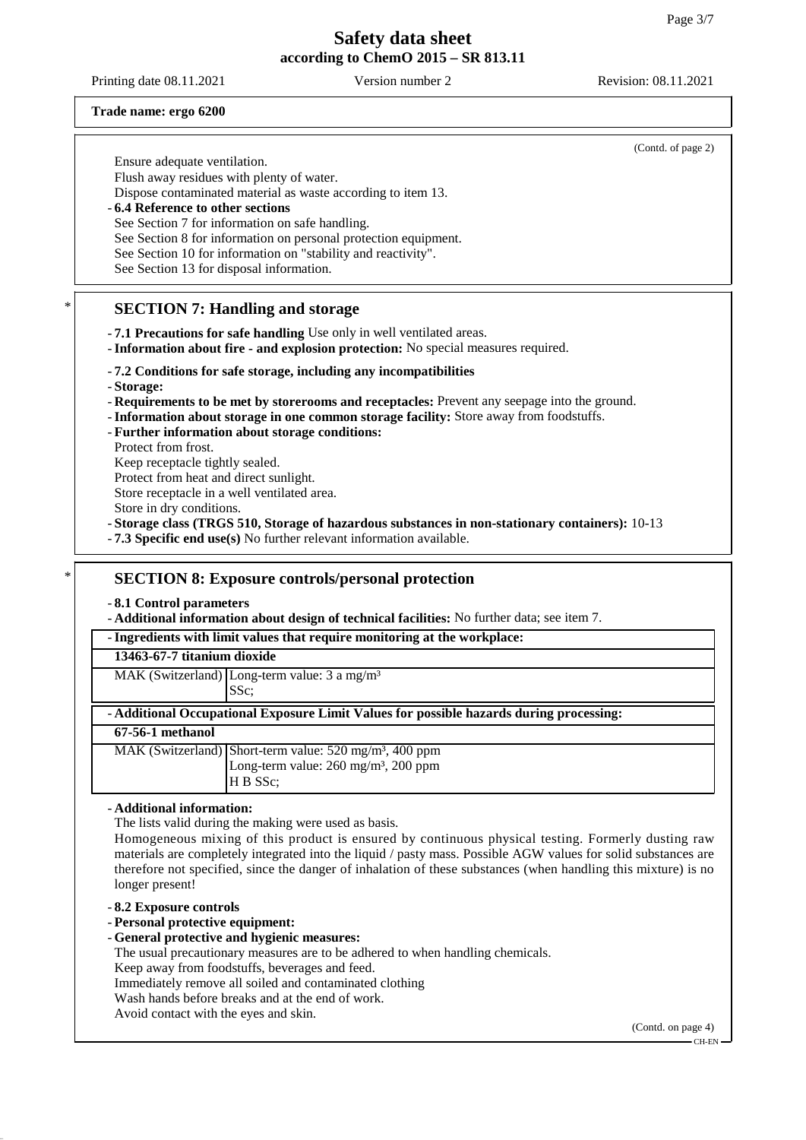Printing date 08.11.2021 Version number 2 Revision: 08.11.2021

#### **Trade name: ergo 6200**

(Contd. of page 2) Ensure adequate ventilation. Flush away residues with plenty of water. Dispose contaminated material as waste according to item 13. - **6.4 Reference to other sections** See Section 7 for information on safe handling. See Section 8 for information on personal protection equipment. See Section 10 for information on "stability and reactivity". See Section 13 for disposal information. **SECTION 7: Handling and storage** - **7.1 Precautions for safe handling** Use only in well ventilated areas. - **Information about fire - and explosion protection:** No special measures required. - **7.2 Conditions for safe storage, including any incompatibilities** - **Storage:** - **Requirements to be met by storerooms and receptacles:** Prevent any seepage into the ground. - **Information about storage in one common storage facility:** Store away from foodstuffs. - **Further information about storage conditions:** Protect from frost. Keep receptacle tightly sealed. Protect from heat and direct sunlight. Store receptacle in a well ventilated area. Store in dry conditions. - **Storage class (TRGS 510, Storage of hazardous substances in non-stationary containers):** 10-13 - **7.3 Specific end use(s)** No further relevant information available. \* **SECTION 8: Exposure controls/personal protection** - **8.1 Control parameters** - **Additional information about design of technical facilities:** No further data; see item 7. - **Ingredients with limit values that require monitoring at the workplace: 13463-67-7 titanium dioxide** MAK (Switzerland) Long-term value: 3 a mg/m<sup>3</sup> SSc; - **Additional Occupational Exposure Limit Values for possible hazards during processing:**

**67-56-1 methanol**

| . <u>.</u> |                                                                    |
|------------|--------------------------------------------------------------------|
|            | MAK (Switzerland) Short-term value: $520 \text{ mg/m}^3$ , 400 ppm |
|            | Long-term value: $260 \text{ mg/m}^3$ , $200 \text{ ppm}$          |
|            | IH B SSc:                                                          |

#### - **Additional information:**

The lists valid during the making were used as basis.

Homogeneous mixing of this product is ensured by continuous physical testing. Formerly dusting raw materials are completely integrated into the liquid / pasty mass. Possible AGW values for solid substances are therefore not specified, since the danger of inhalation of these substances (when handling this mixture) is no longer present!

#### - **8.2 Exposure controls**

- **Personal protective equipment:**

- **General protective and hygienic measures:**
- The usual precautionary measures are to be adhered to when handling chemicals.
- Keep away from foodstuffs, beverages and feed.
- Immediately remove all soiled and contaminated clothing
- Wash hands before breaks and at the end of work.
- Avoid contact with the eyes and skin.

(Contd. on page 4) CH-EN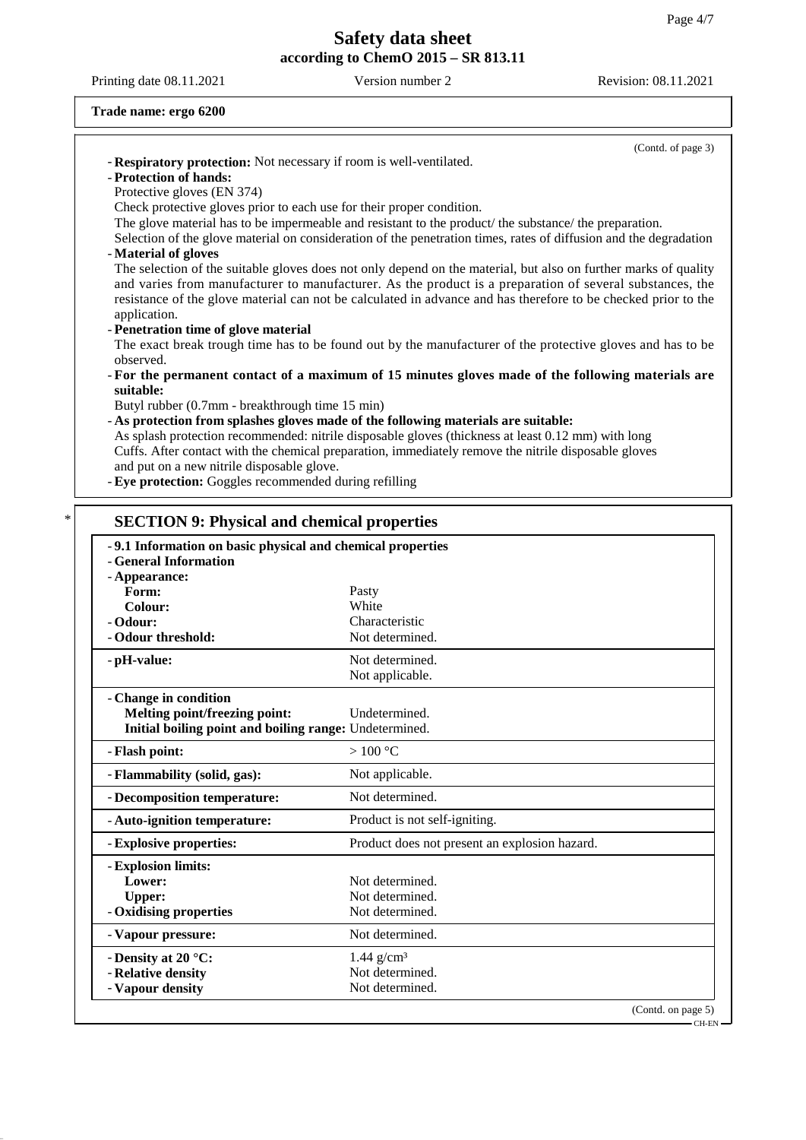Printing date 08.11.2021 Version number 2 Revision: 08.11.2021

#### **Trade name: ergo 6200**

|                                                                                                                                                                                                                                                                                                                                               | (Contd. of page 3)                                                                                                                                                                       |  |
|-----------------------------------------------------------------------------------------------------------------------------------------------------------------------------------------------------------------------------------------------------------------------------------------------------------------------------------------------|------------------------------------------------------------------------------------------------------------------------------------------------------------------------------------------|--|
| - Respiratory protection: Not necessary if room is well-ventilated.                                                                                                                                                                                                                                                                           |                                                                                                                                                                                          |  |
| - Protection of hands:                                                                                                                                                                                                                                                                                                                        |                                                                                                                                                                                          |  |
| Protective gloves (EN 374)                                                                                                                                                                                                                                                                                                                    |                                                                                                                                                                                          |  |
| Check protective gloves prior to each use for their proper condition.                                                                                                                                                                                                                                                                         |                                                                                                                                                                                          |  |
| The glove material has to be impermeable and resistant to the product/ the substance/ the preparation.<br>Selection of the glove material on consideration of the penetration times, rates of diffusion and the degradation                                                                                                                   |                                                                                                                                                                                          |  |
| - Material of gloves                                                                                                                                                                                                                                                                                                                          |                                                                                                                                                                                          |  |
|                                                                                                                                                                                                                                                                                                                                               |                                                                                                                                                                                          |  |
| The selection of the suitable gloves does not only depend on the material, but also on further marks of quality<br>and varies from manufacturer to manufacturer. As the product is a preparation of several substances, the<br>resistance of the glove material can not be calculated in advance and has therefore to be checked prior to the |                                                                                                                                                                                          |  |
|                                                                                                                                                                                                                                                                                                                                               |                                                                                                                                                                                          |  |
| - Penetration time of glove material                                                                                                                                                                                                                                                                                                          |                                                                                                                                                                                          |  |
|                                                                                                                                                                                                                                                                                                                                               | The exact break trough time has to be found out by the manufacturer of the protective gloves and has to be                                                                               |  |
| observed.                                                                                                                                                                                                                                                                                                                                     |                                                                                                                                                                                          |  |
|                                                                                                                                                                                                                                                                                                                                               | - For the permanent contact of a maximum of 15 minutes gloves made of the following materials are                                                                                        |  |
| suitable:                                                                                                                                                                                                                                                                                                                                     |                                                                                                                                                                                          |  |
| Butyl rubber (0.7mm - breakthrough time 15 min)                                                                                                                                                                                                                                                                                               |                                                                                                                                                                                          |  |
|                                                                                                                                                                                                                                                                                                                                               | - As protection from splashes gloves made of the following materials are suitable:<br>As splash protection recommended: nitrile disposable gloves (thickness at least 0.12 mm) with long |  |
|                                                                                                                                                                                                                                                                                                                                               | Cuffs. After contact with the chemical preparation, immediately remove the nitrile disposable gloves                                                                                     |  |
| and put on a new nitrile disposable glove.                                                                                                                                                                                                                                                                                                    |                                                                                                                                                                                          |  |
| - Eye protection: Goggles recommended during refilling                                                                                                                                                                                                                                                                                        |                                                                                                                                                                                          |  |
|                                                                                                                                                                                                                                                                                                                                               |                                                                                                                                                                                          |  |
| <b>SECTION 9: Physical and chemical properties</b><br>-9.1 Information on basic physical and chemical properties                                                                                                                                                                                                                              |                                                                                                                                                                                          |  |
| - General Information<br>- Appearance:                                                                                                                                                                                                                                                                                                        |                                                                                                                                                                                          |  |
| Form:                                                                                                                                                                                                                                                                                                                                         | Pasty                                                                                                                                                                                    |  |
| Colour:                                                                                                                                                                                                                                                                                                                                       | White                                                                                                                                                                                    |  |
| - Odour:                                                                                                                                                                                                                                                                                                                                      | Characteristic                                                                                                                                                                           |  |
| - Odour threshold:                                                                                                                                                                                                                                                                                                                            | Not determined.                                                                                                                                                                          |  |
| - pH-value:                                                                                                                                                                                                                                                                                                                                   | Not determined.                                                                                                                                                                          |  |
|                                                                                                                                                                                                                                                                                                                                               | Not applicable.                                                                                                                                                                          |  |
|                                                                                                                                                                                                                                                                                                                                               |                                                                                                                                                                                          |  |
| - Change in condition                                                                                                                                                                                                                                                                                                                         | Undetermined.                                                                                                                                                                            |  |
| <b>Melting point/freezing point:</b><br>Initial boiling point and boiling range: Undetermined.                                                                                                                                                                                                                                                |                                                                                                                                                                                          |  |
| - Flash point:                                                                                                                                                                                                                                                                                                                                | $>100\text{ °C}$                                                                                                                                                                         |  |
| - Flammability (solid, gas):                                                                                                                                                                                                                                                                                                                  | Not applicable.                                                                                                                                                                          |  |
| - Decomposition temperature:                                                                                                                                                                                                                                                                                                                  | Not determined.                                                                                                                                                                          |  |
| - Auto-ignition temperature:                                                                                                                                                                                                                                                                                                                  | Product is not self-igniting.                                                                                                                                                            |  |
| - Explosive properties:                                                                                                                                                                                                                                                                                                                       | Product does not present an explosion hazard.                                                                                                                                            |  |
| - Explosion limits:                                                                                                                                                                                                                                                                                                                           |                                                                                                                                                                                          |  |
| Lower:                                                                                                                                                                                                                                                                                                                                        | Not determined.                                                                                                                                                                          |  |
| <b>Upper:</b>                                                                                                                                                                                                                                                                                                                                 | Not determined.                                                                                                                                                                          |  |
| - Oxidising properties                                                                                                                                                                                                                                                                                                                        | Not determined.                                                                                                                                                                          |  |
| - Vapour pressure:                                                                                                                                                                                                                                                                                                                            | Not determined.                                                                                                                                                                          |  |
|                                                                                                                                                                                                                                                                                                                                               |                                                                                                                                                                                          |  |
| - Density at 20 °C:<br>- Relative density                                                                                                                                                                                                                                                                                                     | $1.44$ g/cm <sup>3</sup><br>Not determined.                                                                                                                                              |  |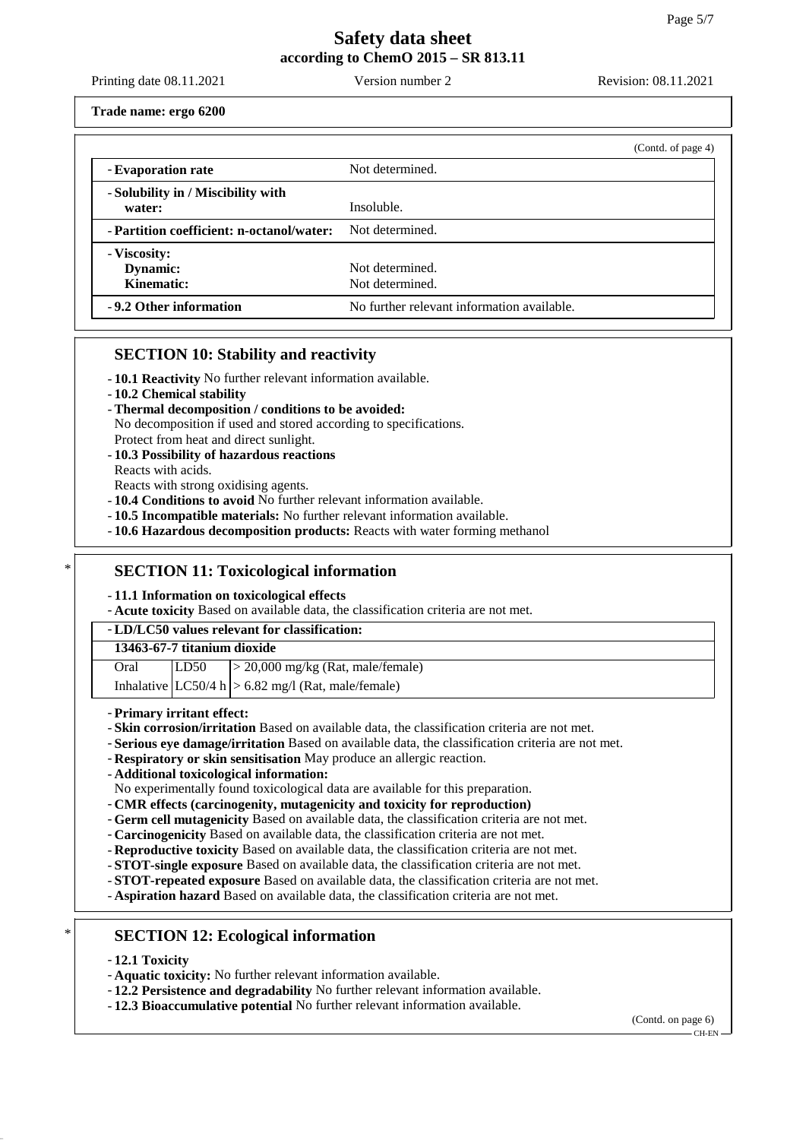Printing date 08.11.2021 Version number 2 Revision: 08.11.2021

**Trade name: ergo 6200**

|                                                           | (Contd. of page 4)                         |
|-----------------------------------------------------------|--------------------------------------------|
| - Evaporation rate                                        | Not determined.                            |
| - Solubility in / Miscibility with<br>water:              | Insoluble.                                 |
| - Partition coefficient: n-octanol/water: Not determined. |                                            |
| - Viscosity:<br>Dynamic:<br>Kinematic:                    | Not determined.<br>Not determined.         |
| -9.2 Other information                                    | No further relevant information available. |

## **SECTION 10: Stability and reactivity**

- **10.1 Reactivity** No further relevant information available.
- **10.2 Chemical stability**
- **Thermal decomposition / conditions to be avoided:**
- No decomposition if used and stored according to specifications.
- Protect from heat and direct sunlight.
- **10.3 Possibility of hazardous reactions**
- Reacts with acids.
- Reacts with strong oxidising agents.
- **10.4 Conditions to avoid** No further relevant information available.
- **10.5 Incompatible materials:** No further relevant information available.
- **10.6 Hazardous decomposition products:** Reacts with water forming methanol

## **SECTION 11: Toxicological information**

- **11.1 Information on toxicological effects**

- **Acute toxicity** Based on available data, the classification criteria are not met.

### - **LD/LC50 values relevant for classification:**

| 13463-67-7 titanium dioxide |      |                                        |  |
|-----------------------------|------|----------------------------------------|--|
| Oral                        | LD50 | $\geq$ 20,000 mg/kg (Rat, male/female) |  |

|  | Inhalative $ LC50/4 h  > 6.82$ mg/l (Rat, male/female) |
|--|--------------------------------------------------------|

- **Primary irritant effect:**
- **Skin corrosion/irritation** Based on available data, the classification criteria are not met.
- **Serious eye damage/irritation** Based on available data, the classification criteria are not met.
- **Respiratory or skin sensitisation** May produce an allergic reaction.
- **Additional toxicological information:**

No experimentally found toxicological data are available for this preparation.

- **CMR effects (carcinogenity, mutagenicity and toxicity for reproduction)**
- **Germ cell mutagenicity** Based on available data, the classification criteria are not met.
- **Carcinogenicity** Based on available data, the classification criteria are not met.
- **Reproductive toxicity** Based on available data, the classification criteria are not met.
- **STOT-single exposure** Based on available data, the classification criteria are not met.
- **STOT-repeated exposure** Based on available data, the classification criteria are not met.
- **Aspiration hazard** Based on available data, the classification criteria are not met.
- **SECTION 12: Ecological information**
- **12.1 Toxicity**
- **Aquatic toxicity:** No further relevant information available.
- **12.2 Persistence and degradability** No further relevant information available.
- **12.3 Bioaccumulative potential** No further relevant information available.

(Contd. on page 6) CH-EN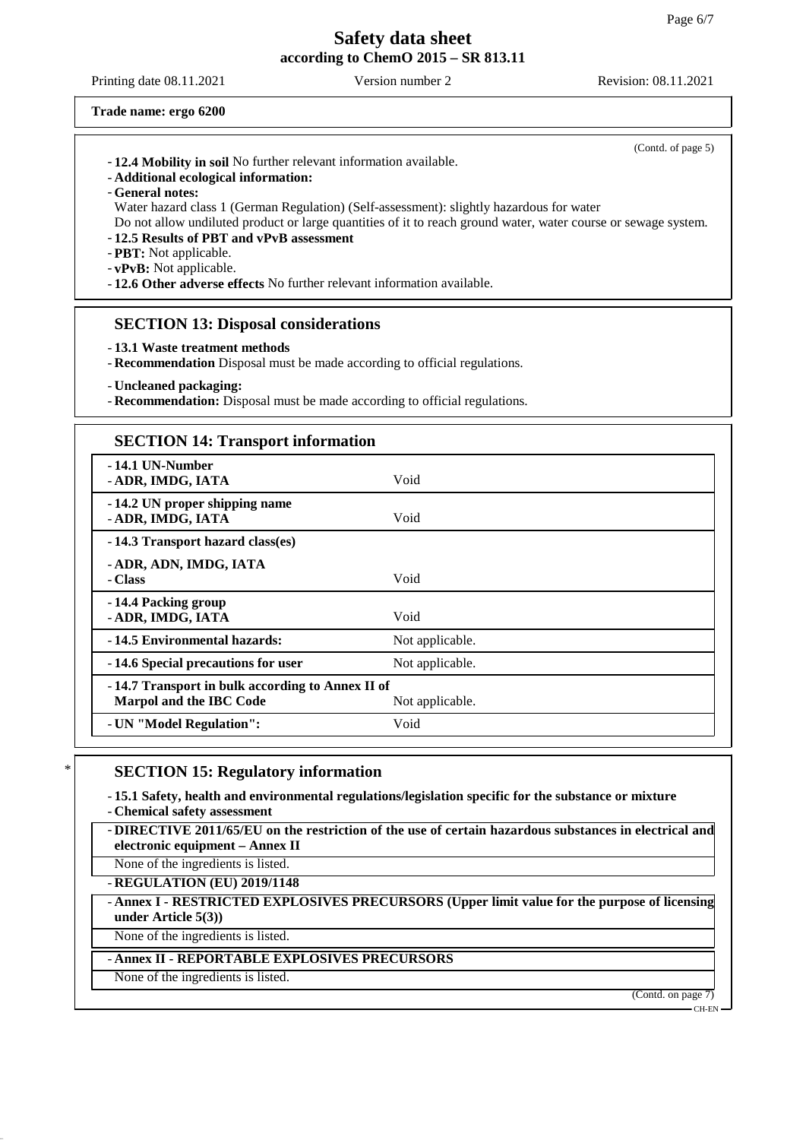Printing date 08.11.2021 Version number 2 Revision: 08.11.2021

(Contd. of page 5)

**Trade name: ergo 6200**

- **Additional ecological information:**
- **General notes:**

Water hazard class 1 (German Regulation) (Self-assessment): slightly hazardous for water Do not allow undiluted product or large quantities of it to reach ground water, water course or sewage system.

- **12.5 Results of PBT and vPvB assessment**

- **PBT:** Not applicable.

- **vPvB:** Not applicable.

- **12.6 Other adverse effects** No further relevant information available.

### **SECTION 13: Disposal considerations**

- **13.1 Waste treatment methods**
- **Recommendation** Disposal must be made according to official regulations.
- **Uncleaned packaging:**

- **Recommendation:** Disposal must be made according to official regulations.

#### **SECTION 14: Transport information**

| -14.1 UN-Number<br>- ADR, IMDG, IATA                                        | Void            |
|-----------------------------------------------------------------------------|-----------------|
| -14.2 UN proper shipping name<br>- ADR, IMDG, IATA                          | Void            |
| -14.3 Transport hazard class(es)                                            |                 |
| - ADR, ADN, IMDG, IATA<br>- Class                                           | Void            |
| -14.4 Packing group<br>- ADR, IMDG, IATA                                    | Void            |
| -14.5 Environmental hazards:                                                | Not applicable. |
| -14.6 Special precautions for user                                          | Not applicable. |
| -14.7 Transport in bulk according to Annex II of<br>Marpol and the IBC Code | Not applicable. |
| - UN "Model Regulation":                                                    | Void            |

## **SECTION 15: Regulatory information**

- **15.1 Safety, health and environmental regulations/legislation specific for the substance or mixture** - **Chemical safety assessment**

- **DIRECTIVE 2011/65/EU on the restriction of the use of certain hazardous substances in electrical and**

**electronic equipment – Annex II**

None of the ingredients is listed.

- **REGULATION (EU) 2019/1148**

## - **Annex I - RESTRICTED EXPLOSIVES PRECURSORS (Upper limit value for the purpose of licensing under Article 5(3))**

None of the ingredients is listed.

## - **Annex II - REPORTABLE EXPLOSIVES PRECURSORS**

None of the ingredients is listed.

(Contd. on page 7)

CH-EN